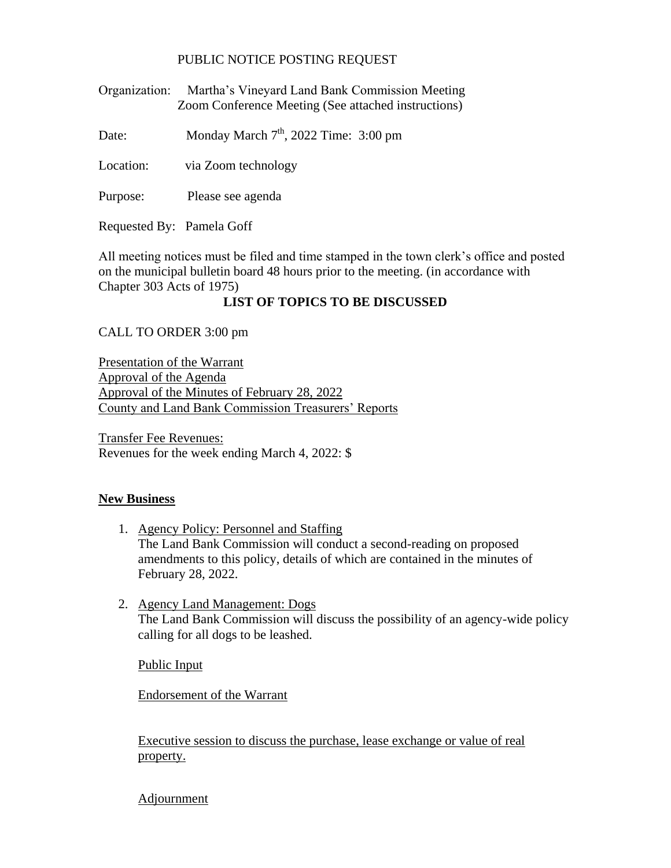## PUBLIC NOTICE POSTING REQUEST

Organization: Martha's Vineyard Land Bank Commission Meeting Zoom Conference Meeting (See attached instructions)

Date: Monday March  $7<sup>th</sup>$ , 2022 Time: 3:00 pm

Location: via Zoom technology

Purpose: Please see agenda

Requested By: Pamela Goff

All meeting notices must be filed and time stamped in the town clerk's office and posted on the municipal bulletin board 48 hours prior to the meeting. (in accordance with Chapter 303 Acts of 1975)

## **LIST OF TOPICS TO BE DISCUSSED**

CALL TO ORDER 3:00 pm

Presentation of the Warrant Approval of the Agenda Approval of the Minutes of February 28, 2022 County and Land Bank Commission Treasurers' Reports

Transfer Fee Revenues: Revenues for the week ending March 4, 2022: \$

## **New Business**

- 1. Agency Policy: Personnel and Staffing The Land Bank Commission will conduct a second-reading on proposed amendments to this policy, details of which are contained in the minutes of February 28, 2022.
- 2. Agency Land Management: Dogs The Land Bank Commission will discuss the possibility of an agency-wide policy calling for all dogs to be leashed.

Public Input

Endorsement of the Warrant

Executive session to discuss the purchase, lease exchange or value of real property.

Adjournment